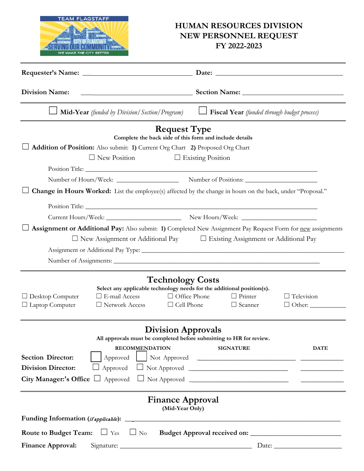

## **HUMAN RESOURCES DIVISION NEW PERSONNEL REQUEST FY 2022-2023**

| <b>Division Name:</b>                                                                                       |                                                                                                                         |                                                                     |                                                    |                                                                                                             |
|-------------------------------------------------------------------------------------------------------------|-------------------------------------------------------------------------------------------------------------------------|---------------------------------------------------------------------|----------------------------------------------------|-------------------------------------------------------------------------------------------------------------|
|                                                                                                             | <b>Mid-Year</b> (funded by Division/Section/Program)                                                                    |                                                                     | $\Box$ Fiscal Year (funded through budget process) |                                                                                                             |
| <b>Request Type</b><br>Complete the back side of this form and include details                              |                                                                                                                         |                                                                     |                                                    |                                                                                                             |
| Addition of Position: Also submit: 1) Current Org Chart 2) Proposed Org Chart                               |                                                                                                                         |                                                                     |                                                    |                                                                                                             |
| $\Box$ New Position<br>$\Box$ Existing Position                                                             |                                                                                                                         |                                                                     |                                                    |                                                                                                             |
|                                                                                                             |                                                                                                                         |                                                                     |                                                    |                                                                                                             |
|                                                                                                             |                                                                                                                         |                                                                     |                                                    |                                                                                                             |
| Change in Hours Worked: List the employee(s) affected by the change in hours on the back, under "Proposal." |                                                                                                                         |                                                                     |                                                    |                                                                                                             |
|                                                                                                             |                                                                                                                         |                                                                     |                                                    |                                                                                                             |
|                                                                                                             |                                                                                                                         |                                                                     |                                                    |                                                                                                             |
|                                                                                                             | $\Box$ New Assignment or Additional Pay $\Box$ Existing Assignment or Additional Pay                                    |                                                                     |                                                    | Assignment or Additional Pay: Also submit: 1) Completed New Assignment Pay Request Form for new assignments |
| $\Box$ Desktop Computer<br>$\Box$ Laptop Computer                                                           | Select any applicable technology needs for the additional position(s).<br>$\Box$ E-mail Access<br>$\Box$ Network Access | <b>Technology Costs</b><br>$\Box$ Office Phone<br>$\Box$ Cell Phone | $\Box$ Printer<br>$\Box$ Scanner                   | $\Box$ Television<br>$\Box$ Other:                                                                          |
| <b>Division Approvals</b><br>All approvals must be completed before submitting to HR for review.            |                                                                                                                         |                                                                     |                                                    |                                                                                                             |
|                                                                                                             | <b>RECOMMENDATION</b>                                                                                                   |                                                                     | <b>SIGNATURE</b>                                   | <b>DATE</b>                                                                                                 |
| <b>Section Director:</b>                                                                                    | Approved                                                                                                                |                                                                     |                                                    |                                                                                                             |
| <b>Division Director:</b>                                                                                   | Approved                                                                                                                |                                                                     |                                                    |                                                                                                             |
|                                                                                                             |                                                                                                                         |                                                                     |                                                    |                                                                                                             |
| <b>Finance Approval</b><br>(Mid-Year Only)                                                                  |                                                                                                                         |                                                                     |                                                    |                                                                                                             |
|                                                                                                             |                                                                                                                         |                                                                     |                                                    |                                                                                                             |
| <b>Route to Budget Team:</b> $\Box$ Yes $\Box$ No                                                           |                                                                                                                         |                                                                     |                                                    |                                                                                                             |
| <b>Finance Approval:</b>                                                                                    |                                                                                                                         |                                                                     |                                                    | Date: $\_\_$                                                                                                |